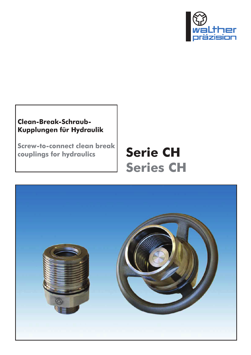

## **Clean-Break-Schraub-Kupplungen für Hydraulik**

**Screw-to-connect clean break couplings for hydraulics**

# **Serie CH Series CH**

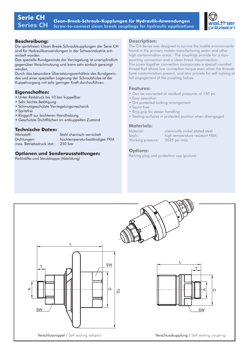

#### **Beschreibung:**

Die spritzfreien Clean-Break-Schraubkupplungen der Serie CH sind für Hydraulikanwendungen in der Schwerindustrie entwickelt worden.

Das spezielle Rundgewinde der Verriegelung ist unempfindlich gegenüber Verschmutzung und kann sehr einfach gereinigt werden.

Durch das besondere Übersetzungsverhältnis des Rundgewindes und einer speziellen Lagerung der Schraubhülse ist der Kuppelvorgang mit sehr geringer Kraft durchzuführen.

### **Eigenschaften:**

- Unter Restdruck bis 10 bar kuppelbar
- Sehr leichte Betätigung
- Schmutzgeschützte Verriegelungsmechanik
- Spritzfrei
- Ringgriff zur leichteren Handhabung
- Geschützte Dichtflächen im entkuppelten Zustand

#### **Technische Daten:**

Werkstoff: Stahl chemisch vernickelt Dichtungen: hochtemperaturbeständiges FKM max. Betriebsdruck stat.: 250 bar

### **Optionen und Sonderausstattungen:**

Parkhälfte und Staubkappe (Abbildung)

#### **Description:**

The CH Series was designed to survive the hostile environments found in the primary metals manufacturing sector and other high contamination areas. The couplings provide for a nonsquirting connection and a clean break disconnection.

The screw together connection incorporates a special rounded thread that allows low connection torque even when the threads have contamination present, and also provide for self-locking at full engagement of the coupling halves.

#### **Features:**

- Can be connected at residual pressures of 150 psi
- Easy operation
- Dirt protected locking arrangement
- Squirt free
- Ring grip for easier handling
- Sealing surfaces in protected position when disengaged

#### **Materials:**

Material: chemically nickel plated steel Seals: high temperature resistant FKM Working pressure: 3625 psi max.

#### **Options:**

Parking plug and protection cap (picture)

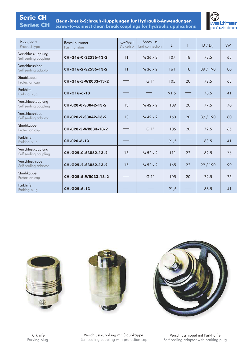# **Serie CH**

**SCP 1986-1986**<br>Series CH Screw-to-connect clean break couplings for hydraulic applications



| Produktart<br>Product type                  | Bestellnummer<br>Part number | Cv-Wert<br>Cv value | Anschluss<br>End connection | L    | $\ddagger$ | $D/D_2$  | <b>SW</b> |
|---------------------------------------------|------------------------------|---------------------|-----------------------------|------|------------|----------|-----------|
| Verschlusskupplung<br>Self sealing coupling | CH-G16-0-S2536-13-2          | 11                  | M 36 x 2                    | 107  | 18         | 72,5     | 65        |
| Verschlussnippel<br>Self sealing adaptor    | CH-G16-2-S2536-13-2          | 11                  | $M$ 36 $\times$ 2           | 161  | 18         | 89 / 190 | 80        |
| Staubkappe<br>Protection cap                | CH-G16-5-WR033-13-2          |                     | G <sub>1</sub> '            | 105  | 20         | 72,5     | 65        |
| Parkhilfe<br>Parking plug                   | CH-G16-6-13                  |                     |                             | 91,5 |            | 78,5     | 41        |
| Verschlusskupplung<br>Self sealing coupling | CH-020-0-S3042-13-2          | 13                  | $M$ 42 $\times$ 2           | 109  | 20         | 77,5     | 70        |
| Verschlussnippel<br>Self sealing adaptor    | CH-020-2-S3042-13-2          | 13                  | $M$ 42 $\times$ 2           | 163  | 20         | 89 / 190 | 80        |
| Staubkappe<br>Protection cap                | CH-020-5-WR033-13-2          |                     | G <sub>1</sub> '            | 105  | 20         | 72,5     | 65        |
| Parkhilfe<br>Parking plug                   | CH-020-6-13                  |                     |                             | 91,5 |            | 83,5     | 41        |
| Verschlusskupplung<br>Self sealing coupling | CH-G25-0-S3852-13-2          | 15                  | $M$ 52 $\times$ 2           | 111  | 22         | 82,5     | 75        |
| Verschlussnippel<br>Self sealing adaptor    | CH-G25-2-S3852-13-2          | 15                  | $M$ 52 x 2                  | 165  | 22         | 99 / 190 | 90        |
| Staubkappe<br>Protection cap                | CH-G25-5-WR033-13-2          |                     | G <sub>1</sub> '            | 105  | 20         | 72,5     | 75        |
| Parkhilfe<br>Parking plug                   | CH-G25-6-13                  |                     |                             | 91,5 |            | 88,5     | 41        |







Verschlusskupplung mit Staubkappe Self sealing coupling with protection cap

Verschlussnippel mit Parkhälfte Self sealing adaptor with parking plug